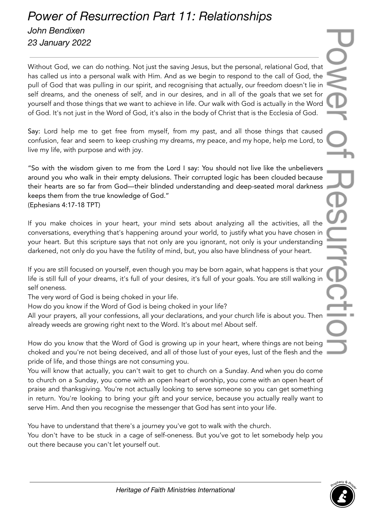## *Power of Resurrection Part 11: Relationships John Bendixen 23 January 2022*

Without God, we can do nothing. Not just the saving Jesus, but the personal, relational God, that has called us into a personal walk with Him. And as we begin to respond to the call of God, the pull of God that was pulling in our spirit, and recognising that actually, our freedom doesn't lie in self dreams, and the oneness of self, and in our desires, and in all of the goals that we set for yourself and those things that we want to achieve in life. Our walk with God is actually in the Word of God. It's not just in the Word of God, it's also in the body of Christ that is the Ecclesia of God.

Say: Lord help me to get free from myself, from my past, and all those things that caused confusion, fear and seem to keep crushing my dreams, my peace, and my hope, help me Lord, to live my life, with purpose and with joy.

"So with the wisdom given to me from the Lord I say: You should not live like the unbelievers around you who walk in their empty delusions. Their corrupted logic has been clouded because their hearts are so far from God—their blinded understanding and deep-seated moral darkness keeps them from the true knowledge of God." (Ephesians 4:17-18 TPT)

If you make choices in your heart, your mind sets about analyzing all the activities, all the conversations, everything that's happening around your world, to justify what you have chosen in your heart. But this scripture says that not only are you ignorant, not only is your understanding darkened, not only do you have the futility of mind, but, you also have blindness of your heart.

If you are still focused on yourself, even though you may be born again, what happens is that your life is still full of your dreams, it's full of your desires, it's full of your goals. You are still walking in self oneness.

The very word of God is being choked in your life.

How do you know if the Word of God is being choked in your life?

All your prayers, all your confessions, all your declarations, and your church life is about you. Then already weeds are growing right next to the Word. It's about me! About self.

How do you know that the Word of God is growing up in your heart, where things are not being choked and you're not being deceived, and all of those lust of your eyes, lust of the flesh and the pride of life, and those things are not consuming you.

You will know that actually, you can't wait to get to church on a Sunday. And when you do come to church on a Sunday, you come with an open heart of worship, you come with an open heart of praise and thanksgiving. You're not actually looking to serve someone so you can get something in return. You're looking to bring your gift and your service, because you actually really want to serve Him. And then you recognise the messenger that God has sent into your life.

You have to understand that there's a journey you've got to walk with the church.

You don't have to be stuck in a cage of self-oneness. But you've got to let somebody help you out there because you can't let yourself out.